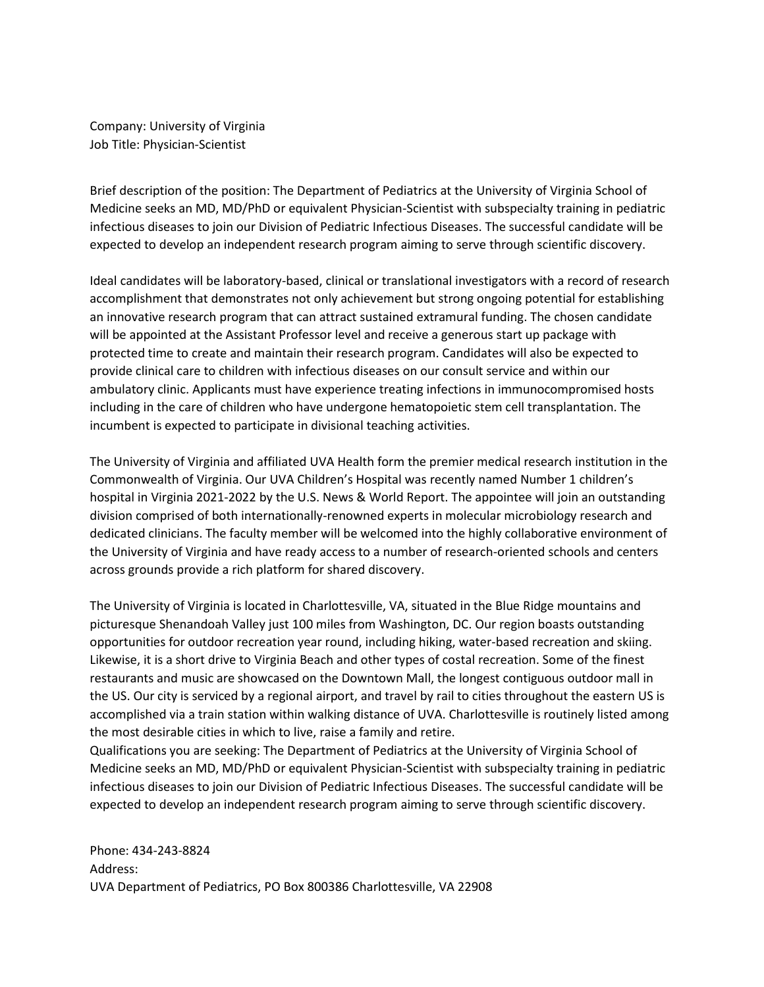Company: University of Virginia Job Title: Physician-Scientist

Brief description of the position: The Department of Pediatrics at the University of Virginia School of Medicine seeks an MD, MD/PhD or equivalent Physician-Scientist with subspecialty training in pediatric infectious diseases to join our Division of Pediatric Infectious Diseases. The successful candidate will be expected to develop an independent research program aiming to serve through scientific discovery.

Ideal candidates will be laboratory-based, clinical or translational investigators with a record of research accomplishment that demonstrates not only achievement but strong ongoing potential for establishing an innovative research program that can attract sustained extramural funding. The chosen candidate will be appointed at the Assistant Professor level and receive a generous start up package with protected time to create and maintain their research program. Candidates will also be expected to provide clinical care to children with infectious diseases on our consult service and within our ambulatory clinic. Applicants must have experience treating infections in immunocompromised hosts including in the care of children who have undergone hematopoietic stem cell transplantation. The incumbent is expected to participate in divisional teaching activities.

The University of Virginia and affiliated UVA Health form the premier medical research institution in the Commonwealth of Virginia. Our UVA Children's Hospital was recently named Number 1 children's hospital in Virginia 2021-2022 by the U.S. News & World Report. The appointee will join an outstanding division comprised of both internationally-renowned experts in molecular microbiology research and dedicated clinicians. The faculty member will be welcomed into the highly collaborative environment of the University of Virginia and have ready access to a number of research-oriented schools and centers across grounds provide a rich platform for shared discovery.

The University of Virginia is located in Charlottesville, VA, situated in the Blue Ridge mountains and picturesque Shenandoah Valley just 100 miles from Washington, DC. Our region boasts outstanding opportunities for outdoor recreation year round, including hiking, water-based recreation and skiing. Likewise, it is a short drive to Virginia Beach and other types of costal recreation. Some of the finest restaurants and music are showcased on the Downtown Mall, the longest contiguous outdoor mall in the US. Our city is serviced by a regional airport, and travel by rail to cities throughout the eastern US is accomplished via a train station within walking distance of UVA. Charlottesville is routinely listed among the most desirable cities in which to live, raise a family and retire.

Qualifications you are seeking: The Department of Pediatrics at the University of Virginia School of Medicine seeks an MD, MD/PhD or equivalent Physician-Scientist with subspecialty training in pediatric infectious diseases to join our Division of Pediatric Infectious Diseases. The successful candidate will be expected to develop an independent research program aiming to serve through scientific discovery.

Phone: 434-243-8824 Address: UVA Department of Pediatrics, PO Box 800386 Charlottesville, VA 22908